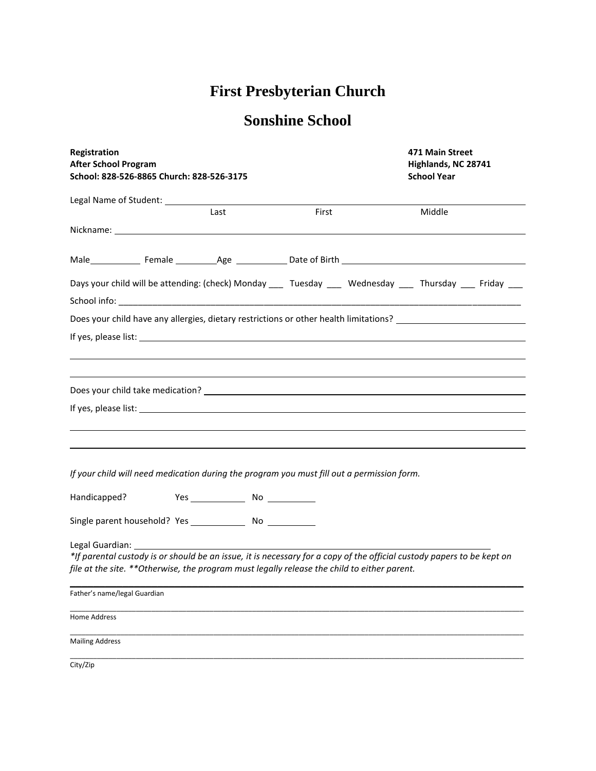## **First Presbyterian Church**

## **Sonshine School**

| Registration<br><b>After School Program</b><br>School: 828-526-8865 Church: 828-526-3175                                                                                                                              |      |       | 471 Main Street<br>Highlands, NC 28741<br><b>School Year</b> |  |
|-----------------------------------------------------------------------------------------------------------------------------------------------------------------------------------------------------------------------|------|-------|--------------------------------------------------------------|--|
|                                                                                                                                                                                                                       |      |       |                                                              |  |
|                                                                                                                                                                                                                       | Last | First | Middle                                                       |  |
|                                                                                                                                                                                                                       |      |       |                                                              |  |
| Male Female Age Communication Cate of Birth Communication Communication Cate of Birth Communication Communication                                                                                                     |      |       |                                                              |  |
| Days your child will be attending: (check) Monday ____ Tuesday ____ Wednesday ____ Thursday ___ Friday ___                                                                                                            |      |       |                                                              |  |
| Does your child have any allergies, dietary restrictions or other health limitations?                                                                                                                                 |      |       |                                                              |  |
|                                                                                                                                                                                                                       |      |       |                                                              |  |
|                                                                                                                                                                                                                       |      |       |                                                              |  |
|                                                                                                                                                                                                                       |      |       |                                                              |  |
| If your child will need medication during the program you must fill out a permission form.                                                                                                                            |      |       |                                                              |  |
| Handicapped?                                                                                                                                                                                                          |      |       |                                                              |  |
|                                                                                                                                                                                                                       |      |       |                                                              |  |
| *If parental custody is or should be an issue, it is necessary for a copy of the official custody papers to be kept on<br>file at the site. **Otherwise, the program must legally release the child to either parent. |      |       |                                                              |  |
| Father's name/legal Guardian                                                                                                                                                                                          |      |       |                                                              |  |
| Home Address                                                                                                                                                                                                          |      |       |                                                              |  |
| <b>Mailing Address</b>                                                                                                                                                                                                |      |       |                                                              |  |
| City/Zip                                                                                                                                                                                                              |      |       |                                                              |  |